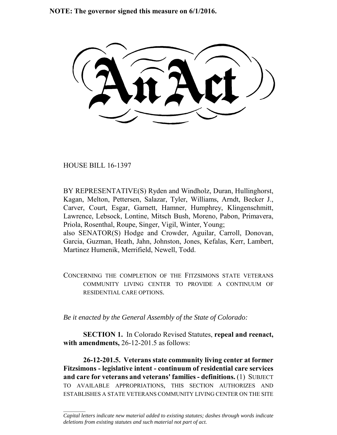**NOTE: The governor signed this measure on 6/1/2016.**

HOUSE BILL 16-1397

 $\frac{1}{2}$ 

BY REPRESENTATIVE(S) Ryden and Windholz, Duran, Hullinghorst, Kagan, Melton, Pettersen, Salazar, Tyler, Williams, Arndt, Becker J., Carver, Court, Esgar, Garnett, Hamner, Humphrey, Klingenschmitt, Lawrence, Lebsock, Lontine, Mitsch Bush, Moreno, Pabon, Primavera, Priola, Rosenthal, Roupe, Singer, Vigil, Winter, Young; also SENATOR(S) Hodge and Crowder, Aguilar, Carroll, Donovan, Garcia, Guzman, Heath, Jahn, Johnston, Jones, Kefalas, Kerr, Lambert, Martinez Humenik, Merrifield, Newell, Todd.

CONCERNING THE COMPLETION OF THE FITZSIMONS STATE VETERANS COMMUNITY LIVING CENTER TO PROVIDE A CONTINUUM OF RESIDENTIAL CARE OPTIONS.

*Be it enacted by the General Assembly of the State of Colorado:*

**SECTION 1.** In Colorado Revised Statutes, **repeal and reenact, with amendments,** 26-12-201.5 as follows:

**26-12-201.5. Veterans state community living center at former Fitzsimons - legislative intent - continuum of residential care services and care for veterans and veterans' families - definitions.** (1) SUBJECT TO AVAILABLE APPROPRIATIONS, THIS SECTION AUTHORIZES AND ESTABLISHES A STATE VETERANS COMMUNITY LIVING CENTER ON THE SITE

*Capital letters indicate new material added to existing statutes; dashes through words indicate deletions from existing statutes and such material not part of act.*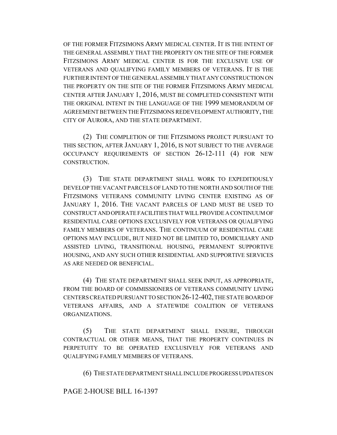OF THE FORMER FITZSIMONS ARMY MEDICAL CENTER. IT IS THE INTENT OF THE GENERAL ASSEMBLY THAT THE PROPERTY ON THE SITE OF THE FORMER FITZSIMONS ARMY MEDICAL CENTER IS FOR THE EXCLUSIVE USE OF VETERANS AND QUALIFYING FAMILY MEMBERS OF VETERANS. IT IS THE FURTHER INTENT OF THE GENERAL ASSEMBLY THAT ANY CONSTRUCTION ON THE PROPERTY ON THE SITE OF THE FORMER FITZSIMONS ARMY MEDICAL CENTER AFTER JANUARY 1, 2016, MUST BE COMPLETED CONSISTENT WITH THE ORIGINAL INTENT IN THE LANGUAGE OF THE 1999 MEMORANDUM OF AGREEMENT BETWEEN THE FITZSIMONS REDEVELOPMENT AUTHORITY, THE CITY OF AURORA, AND THE STATE DEPARTMENT.

(2) THE COMPLETION OF THE FITZSIMONS PROJECT PURSUANT TO THIS SECTION, AFTER JANUARY 1, 2016, IS NOT SUBJECT TO THE AVERAGE OCCUPANCY REQUIREMENTS OF SECTION 26-12-111 (4) FOR NEW CONSTRUCTION.

(3) THE STATE DEPARTMENT SHALL WORK TO EXPEDITIOUSLY DEVELOP THE VACANT PARCELS OF LAND TO THE NORTH AND SOUTH OF THE FITZSIMONS VETERANS COMMUNITY LIVING CENTER EXISTING AS OF JANUARY 1, 2016. THE VACANT PARCELS OF LAND MUST BE USED TO CONSTRUCT AND OPERATE FACILITIES THAT WILL PROVIDE A CONTINUUM OF RESIDENTIAL CARE OPTIONS EXCLUSIVELY FOR VETERANS OR QUALIFYING FAMILY MEMBERS OF VETERANS. THE CONTINUUM OF RESIDENTIAL CARE OPTIONS MAY INCLUDE, BUT NEED NOT BE LIMITED TO, DOMICILIARY AND ASSISTED LIVING, TRANSITIONAL HOUSING, PERMANENT SUPPORTIVE HOUSING, AND ANY SUCH OTHER RESIDENTIAL AND SUPPORTIVE SERVICES AS ARE NEEDED OR BENEFICIAL.

(4) THE STATE DEPARTMENT SHALL SEEK INPUT, AS APPROPRIATE, FROM THE BOARD OF COMMISSIONERS OF VETERANS COMMUNITY LIVING CENTERS CREATED PURSUANT TO SECTION 26-12-402, THE STATE BOARD OF VETERANS AFFAIRS, AND A STATEWIDE COALITION OF VETERANS ORGANIZATIONS.

(5) THE STATE DEPARTMENT SHALL ENSURE, THROUGH CONTRACTUAL OR OTHER MEANS, THAT THE PROPERTY CONTINUES IN PERPETUITY TO BE OPERATED EXCLUSIVELY FOR VETERANS AND QUALIFYING FAMILY MEMBERS OF VETERANS.

(6) THE STATE DEPARTMENT SHALL INCLUDE PROGRESS UPDATES ON

## PAGE 2-HOUSE BILL 16-1397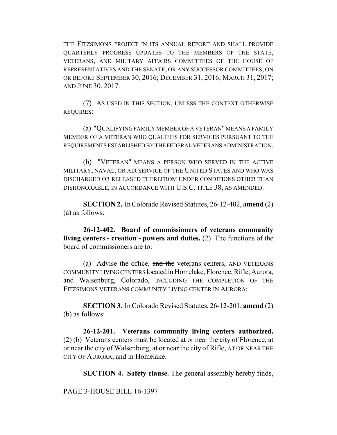THE FITZSIMONS PROJECT IN ITS ANNUAL REPORT AND SHALL PROVIDE QUARTERLY PROGRESS UPDATES TO THE MEMBERS OF THE STATE, VETERANS, AND MILITARY AFFAIRS COMMITTEES OF THE HOUSE OF REPRESENTATIVES AND THE SENATE, OR ANY SUCCESSOR COMMITTEES, ON OR BEFORE SEPTEMBER 30, 2016; DECEMBER 31, 2016; MARCH 31, 2017; AND JUNE 30, 2017.

(7) AS USED IN THIS SECTION, UNLESS THE CONTEXT OTHERWISE REQUIRES:

(a) "QUALIFYING FAMILY MEMBER OF A VETERAN" MEANS A FAMILY MEMBER OF A VETERAN WHO QUALIFIES FOR SERVICES PURSUANT TO THE REQUIREMENTS ESTABLISHED BY THE FEDERAL VETERANS ADMINISTRATION.

(b) "VETERAN" MEANS A PERSON WHO SERVED IN THE ACTIVE MILITARY, NAVAL, OR AIR SERVICE OF THE UNITED STATES AND WHO WAS DISCHARGED OR RELEASED THEREFROM UNDER CONDITIONS OTHER THAN DISHONORABLE, IN ACCORDANCE WITH U.S.C. TITLE 38, AS AMENDED.

**SECTION 2.** In Colorado Revised Statutes, 26-12-402, **amend** (2) (a) as follows:

**26-12-402. Board of commissioners of veterans community living centers - creation - powers and duties.** (2) The functions of the board of commissioners are to:

(a) Advise the office, and the veterans centers, AND VETERANS COMMUNITY LIVING CENTERS located in Homelake, Florence, Rifle, Aurora, and Walsenburg, Colorado, INCLUDING THE COMPLETION OF THE FITZSIMONS VETERANS COMMUNITY LIVING CENTER IN AURORA;

**SECTION 3.** In Colorado Revised Statutes, 26-12-201, **amend** (2) (b) as follows:

**26-12-201. Veterans community living centers authorized.** (2) (b) Veterans centers must be located at or near the city of Florence, at or near the city of Walsenburg, at or near the city of Rifle, AT OR NEAR THE CITY OF AURORA, and in Homelake.

**SECTION 4. Safety clause.** The general assembly hereby finds,

PAGE 3-HOUSE BILL 16-1397